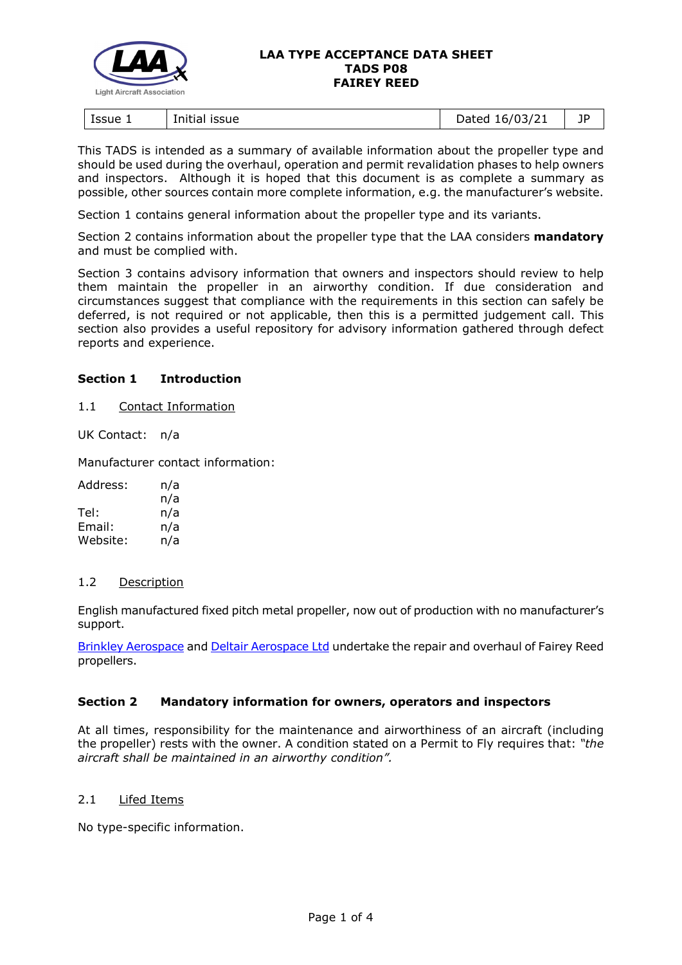

#### **LAA TYPE ACCEPTANCE DATA SHEET TADS P08 FAIREY REED**

| Issue 1<br>issue<br>Initial | 16/03/21<br>)ated<br>pucco | ПD |
|-----------------------------|----------------------------|----|
|-----------------------------|----------------------------|----|

This TADS is intended as a summary of available information about the propeller type and should be used during the overhaul, operation and permit revalidation phases to help owners and inspectors. Although it is hoped that this document is as complete a summary as possible, other sources contain more complete information, e.g. the manufacturer's website.

Section 1 contains general information about the propeller type and its variants.

Section 2 contains information about the propeller type that the LAA considers **mandatory** and must be complied with.

Section 3 contains advisory information that owners and inspectors should review to help them maintain the propeller in an airworthy condition. If due consideration and circumstances suggest that compliance with the requirements in this section can safely be deferred, is not required or not applicable, then this is a permitted judgement call. This section also provides a useful repository for advisory information gathered through defect reports and experience.

### **Section 1 Introduction**

1.1 Contact Information

UK Contact: n/a

Manufacturer contact information:

| Address: | n/a |
|----------|-----|
|          | n/a |
| Tel:     | n/a |
| Email:   | n/a |
| Website: | n/a |

### 1.2 Description

English manufactured fixed pitch metal propeller, now out of production with no manufacturer's support.

[Brinkley Aerospace](https://www.brinkleyaerospace.com/propellers/) and [Deltair Aerospace Ltd](https://www.deltair-aerospace.co.uk/propeller-repair-and-overhaul) undertake the repair and overhaul of Fairey Reed propellers.

### **Section 2 Mandatory information for owners, operators and inspectors**

At all times, responsibility for the maintenance and airworthiness of an aircraft (including the propeller) rests with the owner. A condition stated on a Permit to Fly requires that: *"the aircraft shall be maintained in an airworthy condition".* 

## 2.1 Lifed Items

No type-specific information.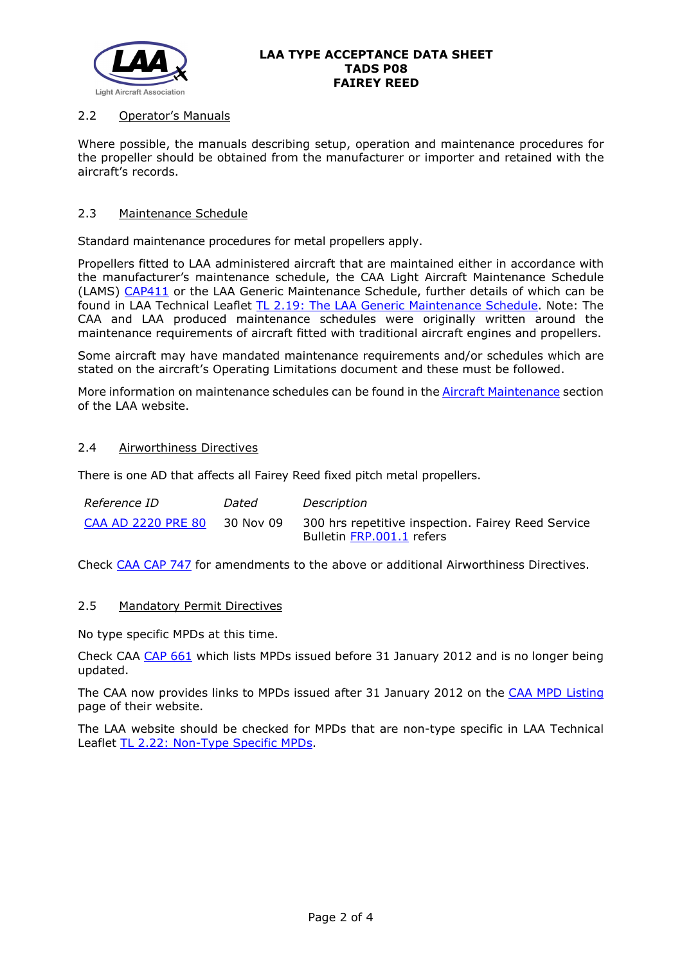

## 2.2 Operator's Manuals

Where possible, the manuals describing setup, operation and maintenance procedures for the propeller should be obtained from the manufacturer or importer and retained with the aircraft's records.

### 2.3 Maintenance Schedule

Standard maintenance procedures for metal propellers apply.

Propellers fitted to LAA administered aircraft that are maintained either in accordance with the manufacturer's maintenance schedule, the CAA Light Aircraft Maintenance Schedule (LAMS) [CAP411](http://www.caa.co.uk/CAP411) or the LAA Generic Maintenance Schedule, further details of which can be found in LAA Technical Leaflet [TL 2.19: The LAA Generic Maintenance Schedule.](http://www.lightaircraftassociation.co.uk/engineering/TechnicalLeaflets/Operating%20An%20Aircraft/TL%202.19%20The%20LAA%20Generic%20Maintenance%20Schedule.pdf) Note: The CAA and LAA produced maintenance schedules were originally written around the maintenance requirements of aircraft fitted with traditional aircraft engines and propellers.

Some aircraft may have mandated maintenance requirements and/or schedules which are stated on the aircraft's Operating Limitations document and these must be followed.

More information on maintenance schedules can be found in the [Aircraft Maintenance](http://www.lightaircraftassociation.co.uk/engineering/Maintenance/Aircraft_Maintenance.html) section of the LAA website.

### 2.4 Airworthiness Directives

There is one AD that affects all Fairey Reed fixed pitch metal propellers.

| Reference ID       | Dated     | Description                                        |
|--------------------|-----------|----------------------------------------------------|
| CAA AD 2220 PRE 80 | 30 Nov 09 | 300 hrs repetitive inspection. Fairey Reed Service |
|                    |           | Bulletin FRP.001.1 refers                          |

Check [CAA CAP 747](http://www.caa.co.uk/cap747) for amendments to the above or additional Airworthiness Directives.

#### 2.5 Mandatory Permit Directives

No type specific MPDs at this time.

Check CAA [CAP 661](http://www.caa.co.uk/cap661) which lists MPDs issued before 31 January 2012 and is no longer being updated.

The CAA now provides links to MPDs issued after 31 January 2012 on the [CAA MPD Listing](http://publicapps.caa.co.uk/modalapplication.aspx?appid=11&mode=list&type=sercat&id=55) page of their website.

The LAA website should be checked for MPDs that are non-type specific in LAA Technical Leaflet [TL 2.22: Non-Type Specific MPDs.](http://www.lightaircraftassociation.co.uk/engineering/TechnicalLeaflets/Operating%20An%20Aircraft/TL%202.22%20non-type%20specific%20MPDs.pdf)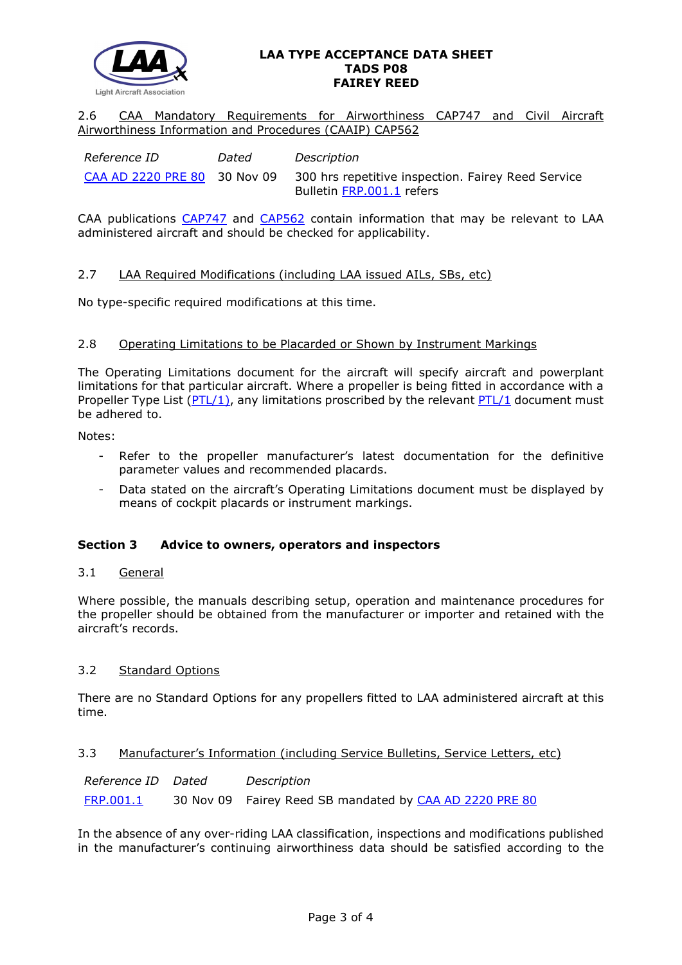

#### **LAA TYPE ACCEPTANCE DATA SHEET TADS P08 FAIREY REED**

2.6 CAA Mandatory Requirements for Airworthiness CAP747 and Civil Aircraft Airworthiness Information and Procedures (CAAIP) CAP562

| Reference ID                 | Dated | Description                                        |
|------------------------------|-------|----------------------------------------------------|
| CAA AD 2220 PRE 80 30 Nov 09 |       | 300 hrs repetitive inspection. Fairey Reed Service |
|                              |       | Bulletin FRP.001.1 refers                          |

CAA publications [CAP747](http://www.caa.co.uk/CAP747) and [CAP562](http://www.caa.co.uk/CAP562) contain information that may be relevant to LAA administered aircraft and should be checked for applicability.

## 2.7 LAA Required Modifications (including LAA issued AILs, SBs, etc)

No type-specific required modifications at this time.

### 2.8 Operating Limitations to be Placarded or Shown by Instrument Markings

The Operating Limitations document for the aircraft will specify aircraft and powerplant limitations for that particular aircraft. Where a propeller is being fitted in accordance with a Propeller Type List ( $PTL/1$ ), any limitations proscribed by the relevant  $PTL/1$  document must be adhered to.

Notes:

- Refer to the propeller manufacturer's latest documentation for the definitive parameter values and recommended placards.
- Data stated on the aircraft's Operating Limitations document must be displayed by means of cockpit placards or instrument markings.

### **Section 3 Advice to owners, operators and inspectors**

### 3.1 General

Where possible, the manuals describing setup, operation and maintenance procedures for the propeller should be obtained from the manufacturer or importer and retained with the aircraft's records.

# 3.2 Standard Options

There are no Standard Options for any propellers fitted to LAA administered aircraft at this time.

### 3.3 Manufacturer's Information (including Service Bulletins, Service Letters, etc)

| Reference ID Dated | Description                                             |
|--------------------|---------------------------------------------------------|
| <u>FRP.001.1</u>   | 30 Nov 09 Fairey Reed SB mandated by CAA AD 2220 PRE 80 |

In the absence of any over-riding LAA classification, inspections and modifications published in the manufacturer's continuing airworthiness data should be satisfied according to the